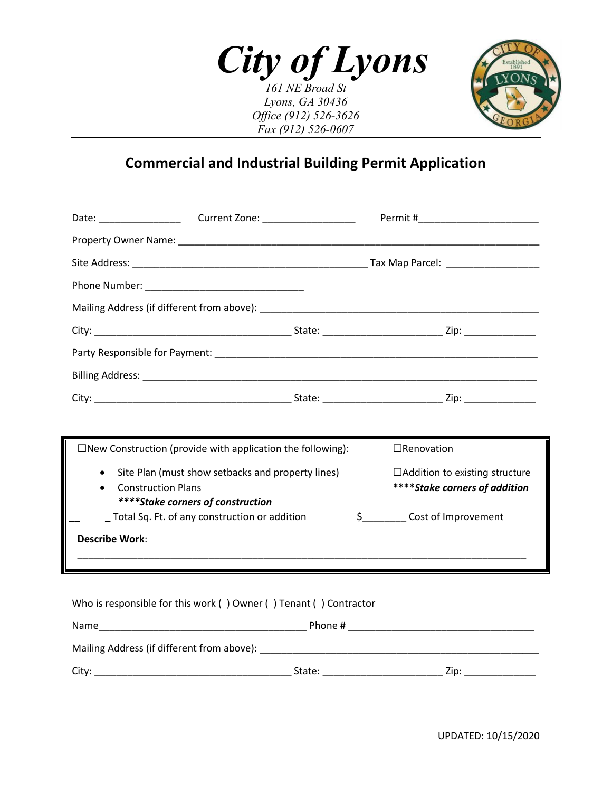*City of Lyons 161 NE Broad St*

*Lyons, GA 30436 Office (912) 526-3626 Fax (912) 526-0607*



## **Commercial and Industrial Building Permit Application**

| $\Box$ New Construction (provide with application the following):                                                                |  | $\Box$ Renovation                                                      |  |  |  |
|----------------------------------------------------------------------------------------------------------------------------------|--|------------------------------------------------------------------------|--|--|--|
| Site Plan (must show setbacks and property lines)<br>$\bullet$<br><b>Construction Plans</b><br>****Stake corners of construction |  | $\Box$ Addition to existing structure<br>****Stake corners of addition |  |  |  |
| Total Sq. Ft. of any construction or addition                                                                                    |  | \$ _______ Cost of Improvement                                         |  |  |  |
| <b>Describe Work:</b>                                                                                                            |  |                                                                        |  |  |  |
|                                                                                                                                  |  |                                                                        |  |  |  |
| Who is responsible for this work () Owner () Tenant () Contractor                                                                |  |                                                                        |  |  |  |
|                                                                                                                                  |  |                                                                        |  |  |  |
|                                                                                                                                  |  |                                                                        |  |  |  |

City: \_\_\_\_\_\_\_\_\_\_\_\_\_\_\_\_\_\_\_\_\_\_\_\_\_\_\_\_\_\_\_\_\_\_\_\_ State: \_\_\_\_\_\_\_\_\_\_\_\_\_\_\_\_\_\_\_\_\_\_ Zip: \_\_\_\_\_\_\_\_\_\_\_\_\_

UPDATED: 10/15/2020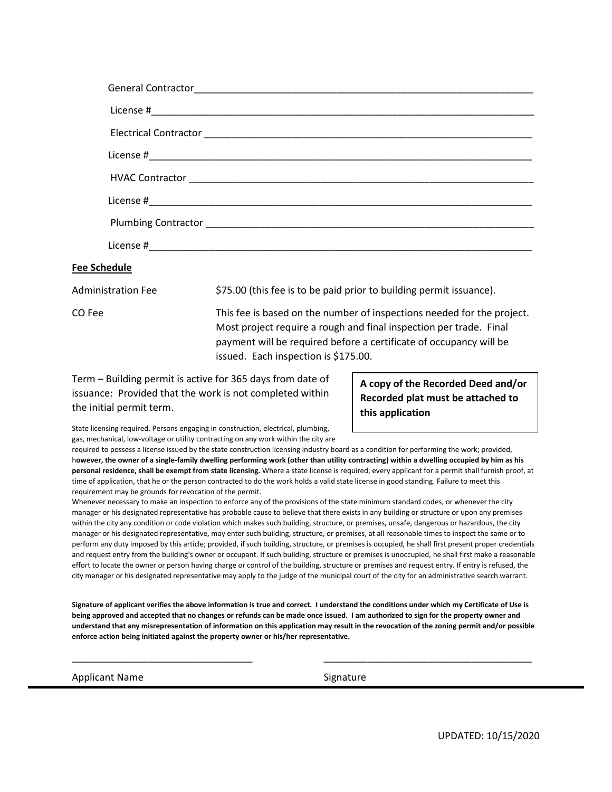| <b>General Contractor</b> |
|---------------------------|
|                           |
|                           |
|                           |
|                           |
|                           |
|                           |
|                           |
| hadula                    |

## **Fee Schedule**

Administration Fee  $$75.00$  (this fee is to be paid prior to building permit issuance).

CO Fee This fee is based on the number of inspections needed for the project. Most project require a rough and final inspection per trade. Final payment will be required before a certificate of occupancy will be issued. Each inspection is \$175.00.

Term – Building permit is active for 365 days from date of issuance: Provided that the work is not completed within the initial permit term.

**A copy of the Recorded Deed and/or Recorded plat must be attached to this application**

State licensing required. Persons engaging in construction, electrical, plumbing, gas, mechanical, low-voltage or utility contracting on any work within the city are

required to possess a license issued by the state construction licensing industry board as a condition for performing the work; provided, h**owever, the owner of a single-family dwelling performing work (other than utility contracting) within a dwelling occupied by him as his personal residence, shall be exempt from state licensing.** Where a state license is required, every applicant for a permit shall furnish proof, at time of application, that he or the person contracted to do the work holds a valid state license in good standing. Failure to meet this requirement may be grounds for revocation of the permit.

Whenever necessary to make an inspection to enforce any of the provisions of the state minimum standard codes, or whenever the city manager or his designated representative has probable cause to believe that there exists in any building or structure or upon any premises within the city any condition or code violation which makes such building, structure, or premises, unsafe, dangerous or hazardous, the city manager or his designated representative, may enter such building, structure, or premises, at all reasonable times to inspect the same or to perform any duty imposed by this article; provided, if such building, structure, or premises is occupied, he shall first present proper credentials and request entry from the building's owner or occupant. If such building, structure or premises is unoccupied, he shall first make a reasonable effort to locate the owner or person having charge or control of the building, structure or premises and request entry. If entry is refused, the city manager or his designated representative may apply to the judge of the municipal court of the city for an administrative search warrant.

**Signature of applicant verifies the above information is true and correct. I understand the conditions under which my Certificate of Use is being approved and accepted that no changes or refunds can be made once issued. I am authorized to sign for the property owner and understand that any misrepresentation of information on this application may result in the revocation of the zoning permit and/or possible enforce action being initiated against the property owner or his/her representative.** 

\_\_\_\_\_\_\_\_\_\_\_\_\_\_\_\_\_\_\_\_\_\_\_\_\_\_\_\_\_\_\_\_\_ \_\_\_\_\_\_\_\_\_\_\_\_\_\_\_\_\_\_\_\_\_\_\_\_\_\_\_\_\_\_\_\_\_\_\_\_\_\_

Applicant Name Signature